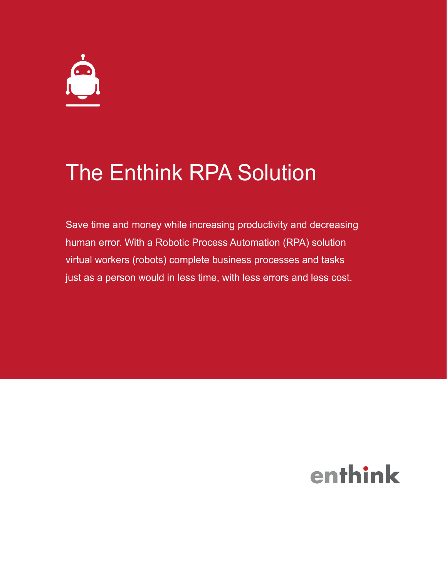## The Enthink RPA Solution

Save time and money while increasing productivity and decreasing human error. With a Robotic Process Automation (RPA) solution virtual workers (robots) complete business processes and tasks just as a person would in less time, with less errors and less cost.

# enthink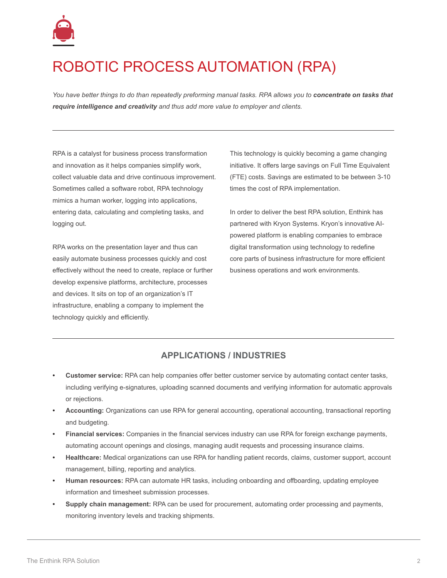

## ROBOTIC PROCESS AUTOMATION (RPA)

*You have better things to do than repeatedly preforming manual tasks. RPA allows you to concentrate on tasks that require intelligence and creativity and thus add more value to employer and clients.*

RPA is a catalyst for business process transformation and innovation as it helps companies simplify work, collect valuable data and drive continuous improvement. Sometimes called a software robot, RPA technology mimics a human worker, logging into applications, entering data, calculating and completing tasks, and logging out.

RPA works on the presentation layer and thus can easily automate business processes quickly and cost effectively without the need to create, replace or further develop expensive platforms, architecture, processes and devices. It sits on top of an organization's IT infrastructure, enabling a company to implement the technology quickly and efficiently.

This technology is quickly becoming a game changing initiative. It offers large savings on Full Time Equivalent (FTE) costs. Savings are estimated to be between 3-10 times the cost of RPA implementation.

In order to deliver the best RPA solution, Enthink has partnered with Kryon Systems. Kryon's innovative AIpowered platform is enabling companies to embrace digital transformation using technology to redefine core parts of business infrastructure for more efficient business operations and work environments.

### **APPLICATIONS / INDUSTRIES**

- **Customer service:** RPA can help companies offer better customer service by automating contact center tasks, including verifying e-signatures, uploading scanned documents and verifying information for automatic approvals or rejections.
- **Accounting:** Organizations can use RPA for general accounting, operational accounting, transactional reporting and budgeting.
- **Financial services:** Companies in the financial services industry can use RPA for foreign exchange payments, automating account openings and closings, managing audit requests and processing insurance claims.
- **Healthcare:** Medical organizations can use RPA for handling patient records, claims, customer support, account management, billing, reporting and analytics.
- **Human resources:** RPA can automate HR tasks, including onboarding and offboarding, updating employee information and timesheet submission processes.
- **Supply chain management:** RPA can be used for procurement, automating order processing and payments, monitoring inventory levels and tracking shipments.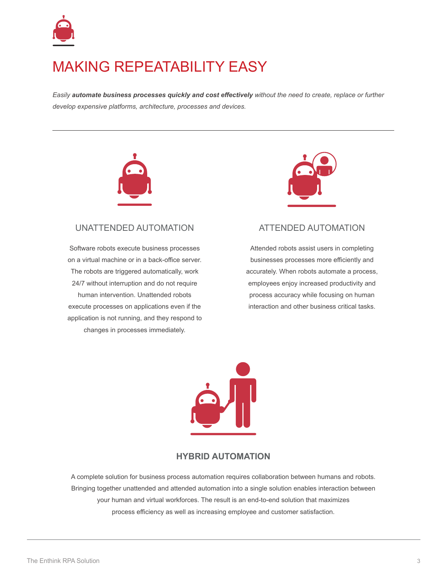

### MAKING REPEATABILITY EASY

*Easily automate business processes quickly and cost effectively without the need to create, replace or further develop expensive platforms, architecture, processes and devices.* 



#### UNATTENDED AUTOMATION

Software robots execute business processes on a virtual machine or in a back-office server. The robots are triggered automatically, work 24/7 without interruption and do not require human intervention. Unattended robots execute processes on applications even if the application is not running, and they respond to changes in processes immediately.



#### ATTENDED AUTOMATION

Attended robots assist users in completing businesses processes more efficiently and accurately. When robots automate a process, employees enjoy increased productivity and process accuracy while focusing on human interaction and other business critical tasks.



#### **HYBRID AUTOMATION**

A complete solution for business process automation requires collaboration between humans and robots. Bringing together unattended and attended automation into a single solution enables interaction between your human and virtual workforces. The result is an end-to-end solution that maximizes process efficiency as well as increasing employee and customer satisfaction.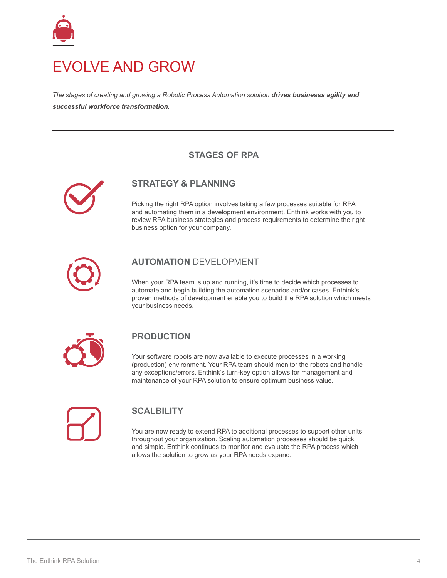

### EVOLVE AND GROW

*The stages of creating and growing a Robotic Process Automation solution drives businesss agility and successful workforce transformation.*

### **STAGES OF RPA**



### **STRATEGY & PLANNING**

Picking the right RPA option involves taking a few processes suitable for RPA and automating them in a development environment. Enthink works with you to review RPA business strategies and process requirements to determine the right business option for your company.



### **AUTOMATION** DEVELOPMENT

When your RPA team is up and running, it's time to decide which processes to automate and begin building the automation scenarios and/or cases. Enthink's proven methods of development enable you to build the RPA solution which meets your business needs.



#### **PRODUCTION**

Your software robots are now available to execute processes in a working (production) environment. Your RPA team should monitor the robots and handle any exceptions/errors. Enthink's turn-key option allows for management and maintenance of your RPA solution to ensure optimum business value.

### **SCALBILITY**

You are now ready to extend RPA to additional processes to support other units throughout your organization. Scaling automation processes should be quick and simple. Enthink continues to monitor and evaluate the RPA process which allows the solution to grow as your RPA needs expand.